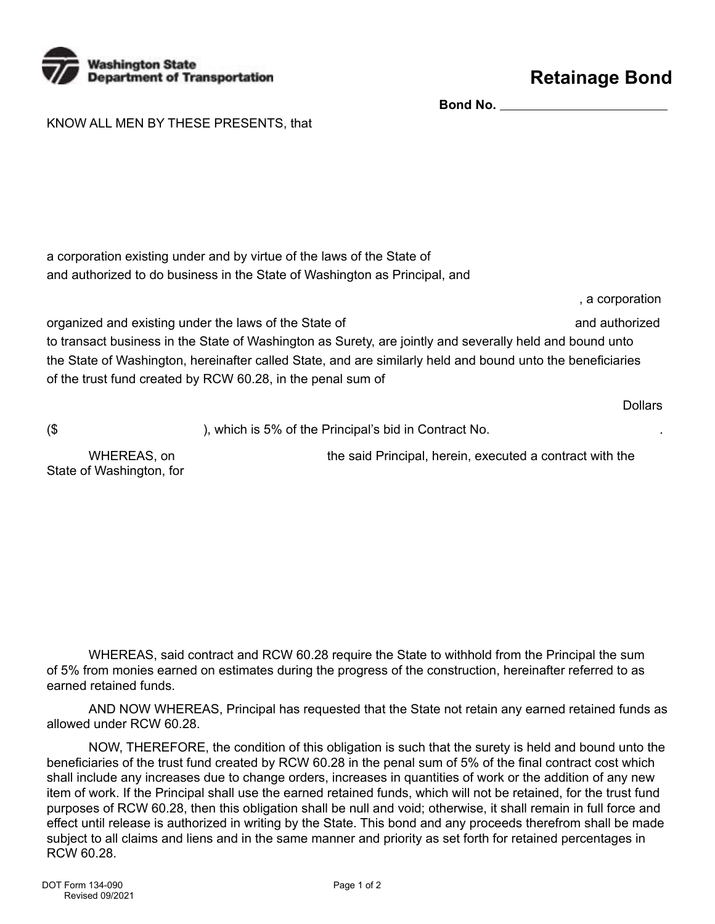

**Bond No.** 

KNOW ALL MEN BY THESE PRESENTS, that

a corporation existing under and by virtue of the laws of the State of and authorized to do business in the State of Washington as Principal, and

organized and existing under the laws of the State of and authorized and authorized to transact business in the State of Washington as Surety, are jointly and severally held and bound unto the State of Washington, hereinafter called State, and are similarly held and bound unto the beneficiaries of the trust fund created by RCW 60.28, in the penal sum of

Dollars

, a corporation

(\$ ), which is 5% of the Principal's bid in Contract No. .

State of Washington, for

WHEREAS, on **the said Principal, herein, executed a contract with the** 

WHEREAS, said contract and RCW 60.28 require the State to withhold from the Principal the sum of 5% from monies earned on estimates during the progress of the construction, hereinafter referred to as earned retained funds.

AND NOW WHEREAS, Principal has requested that the State not retain any earned retained funds as allowed under RCW 60.28.

NOW, THEREFORE, the condition of this obligation is such that the surety is held and bound unto the beneficiaries of the trust fund created by RCW 60.28 in the penal sum of 5% of the final contract cost which shall include any increases due to change orders, increases in quantities of work or the addition of any new item of work. If the Principal shall use the earned retained funds, which will not be retained, for the trust fund purposes of RCW 60.28, then this obligation shall be null and void; otherwise, it shall remain in full force and effect until release is authorized in writing by the State. This bond and any proceeds therefrom shall be made subject to all claims and liens and in the same manner and priority as set forth for retained percentages in RCW 60.28.